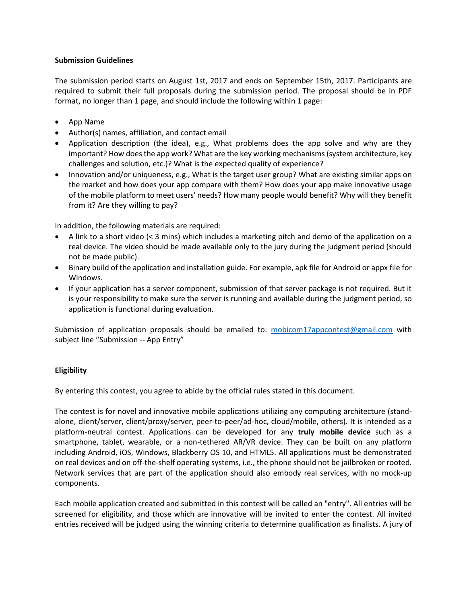## **Submission Guidelines**

The submission period starts on August 1st, 2017 and ends on September 15th, 2017. Participants are required to submit their full proposals during the submission period. The proposal should be in PDF format, no longer than 1 page, and should include the following within 1 page:

- App Name
- Author(s) names, affiliation, and contact email
- Application description (the idea), e.g., What problems does the app solve and why are they important? How does the app work? What are the key working mechanisms (system architecture, key challenges and solution, etc.)? What is the expected quality of experience?
- Innovation and/or uniqueness, e.g., What is the target user group? What are existing similar apps on the market and how does your app compare with them? How does your app make innovative usage of the mobile platform to meet users' needs? How many people would benefit? Why will they benefit from it? Are they willing to pay?

In addition, the following materials are required:

- A link to a short video (< 3 mins) which includes a marketing pitch and demo of the application on a real device. The video should be made available only to the jury during the judgment period (should not be made public).
- Binary build of the application and installation guide. For example, apk file for Android or appx file for Windows.
- If your application has a server component, submission of that server package is not required. But it is your responsibility to make sure the server is running and available during the judgment period, so application is functional during evaluation.

Submission of application proposals should be emailed to: [mobicom17appcontest@gmail.com](mailto:mobicom17appcontest@gmail.com) with subject line "Submission -- App Entry"

## **Eligibility**

By entering this contest, you agree to abide by the official rules stated in this document.

The contest is for novel and innovative mobile applications utilizing any computing architecture (standalone, client/server, client/proxy/server, peer-to-peer/ad-hoc, cloud/mobile, others). It is intended as a platform-neutral contest. Applications can be developed for any **truly mobile device** such as a smartphone, tablet, wearable, or a non-tethered AR/VR device. They can be built on any platform including Android, iOS, Windows, Blackberry OS 10, and HTML5. All applications must be demonstrated on real devices and on off-the-shelf operating systems, i.e., the phone should not be jailbroken or rooted. Network services that are part of the application should also embody real services, with no mock-up components.

Each mobile application created and submitted in this contest will be called an "entry". All entries will be screened for eligibility, and those which are innovative will be invited to enter the contest. All invited entries received will be judged using the winning criteria to determine qualification as finalists. A jury of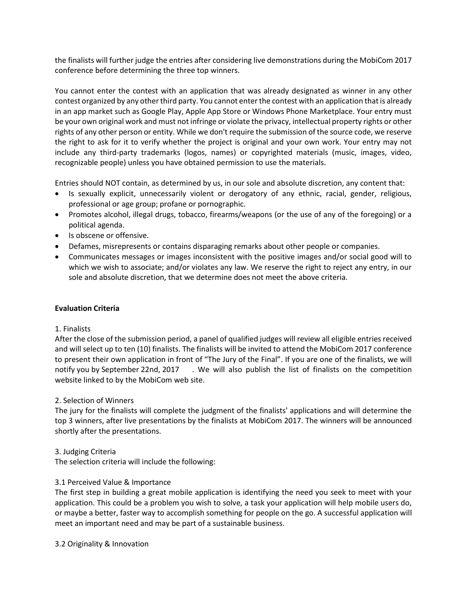the finalists will further judge the entries after considering live demonstrations during the MobiCom 2017 conference before determining the three top winners.

You cannot enter the contest with an application that was already designated as winner in any other contest organized by any other third party. You cannot enter the contest with an application that is already in an app market such as Google Play, Apple App Store or Windows Phone Marketplace. Your entry must be your own original work and must not infringe or violate the privacy, intellectual property rights or other rights of any other person or entity. While we don't require the submission of the source code, we reserve the right to ask for it to verify whether the project is original and your own work. Your entry may not include any third-party trademarks (logos, names) or copyrighted materials (music, images, video, recognizable people) unless you have obtained permission to use the materials.

Entries should NOT contain, as determined by us, in our sole and absolute discretion, any content that:

- Is sexually explicit, unnecessarily violent or derogatory of any ethnic, racial, gender, religious, professional or age group; profane or pornographic.
- Promotes alcohol, illegal drugs, tobacco, firearms/weapons (or the use of any of the foregoing) or a political agenda.
- Is obscene or offensive.
- Defames, misrepresents or contains disparaging remarks about other people or companies.
- Communicates messages or images inconsistent with the positive images and/or social good will to which we wish to associate; and/or violates any law. We reserve the right to reject any entry, in our sole and absolute discretion, that we determine does not meet the above criteria.

## **Evaluation Criteria**

## 1. Finalists

After the close of the submission period, a panel of qualified judges will review all eligible entries received and will select up to ten (10) finalists. The finalists will be invited to attend the MobiCom 2017 conference to present their own application in front of "The Jury of the Final". If you are one of the finalists, we will notify you by September 22nd, 2017 . We will also publish the list of finalists on the competition website linked to by the MobiCom web site.

## 2. Selection of Winners

The jury for the finalists will complete the judgment of the finalists' applications and will determine the top 3 winners, after live presentations by the finalists at MobiCom 2017. The winners will be announced shortly after the presentations.

## 3. Judging Criteria

The selection criteria will include the following:

# 3.1 Perceived Value & Importance

The first step in building a great mobile application is identifying the need you seek to meet with your application. This could be a problem you wish to solve, a task your application will help mobile users do, or maybe a better, faster way to accomplish something for people on the go. A successful application will meet an important need and may be part of a sustainable business.

3.2 Originality & Innovation